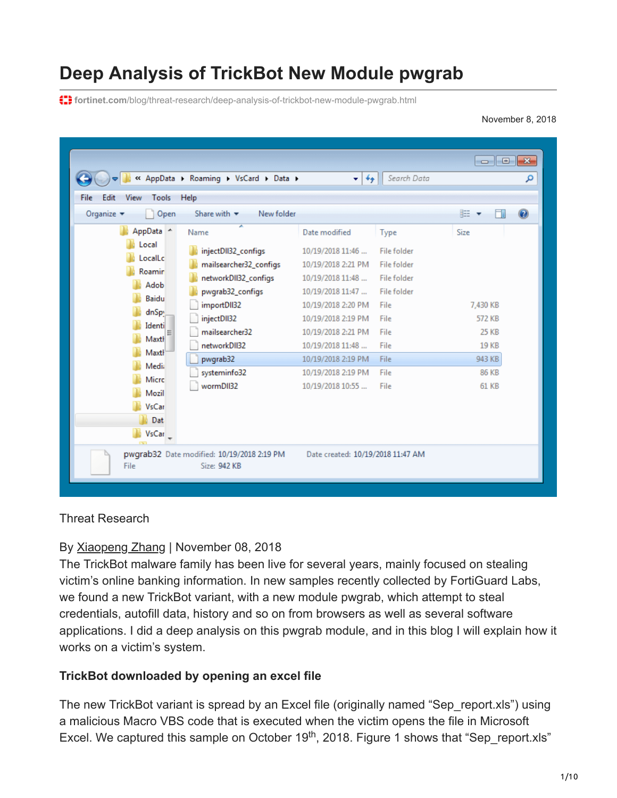# **Deep Analysis of TrickBot New Module pwgrab**

**f:** fortinet.com[/blog/threat-research/deep-analysis-of-trickbot-new-module-pwgrab.html](https://www.fortinet.com/blog/threat-research/deep-analysis-of-trickbot-new-module-pwgrab.html)

November 8, 2018

|                                                                                                                                                                                     | « AppData > Roaming > VsCard > Data >                                                                                                                  | $+$<br>$\mathbf{v}$                                                                                                                                               | Search Data                                                                              | $\overline{\phantom{a}}$                          | $-x$<br>م |
|-------------------------------------------------------------------------------------------------------------------------------------------------------------------------------------|--------------------------------------------------------------------------------------------------------------------------------------------------------|-------------------------------------------------------------------------------------------------------------------------------------------------------------------|------------------------------------------------------------------------------------------|---------------------------------------------------|-----------|
| File<br>Tools<br>Edit<br>View                                                                                                                                                       | Help                                                                                                                                                   |                                                                                                                                                                   |                                                                                          |                                                   |           |
| Organize $\blacktriangledown$<br>Open                                                                                                                                               | Share with $\blacktriangledown$<br>New folder                                                                                                          |                                                                                                                                                                   |                                                                                          | 888 ▼                                             | $\odot$   |
| AppData 4<br>Local<br>LocalLc<br>Roamir<br>Adob<br><b>Baidu</b><br>dnSpy<br>Identi<br>Maxt<br>Maxtl<br><b>Media</b><br><b>Micro</b><br>Mozil<br><b>VsCar</b><br>Dat<br><b>VsCar</b> | ≖<br>Name<br>injectDII32_configs<br>mailsearcher32_configs<br>networkDII32_configs<br>pwgrab32_configs<br>importDII32<br>injectDII32<br>mailsearcher32 | Date modified<br>10/19/2018 11:46<br>10/19/2018 2:21 PM<br>10/19/2018 11:48<br>10/19/2018 11:47<br>10/19/2018 2:20 PM<br>10/19/2018 2:19 PM<br>10/19/2018 2:21 PM | Type<br>File folder<br>File folder<br>File folder<br>File folder<br>File<br>File<br>File | Size<br>7,430 KB<br><b>572 KB</b><br><b>25 KB</b> |           |
|                                                                                                                                                                                     | networkDII32<br>pwgrab32<br>systeminfo32<br>wormDII32                                                                                                  | 10/19/2018 11:48<br>10/19/2018 2:19 PM<br>10/19/2018 2:19 PM<br>10/19/2018 10:55                                                                                  | File<br>File<br>File<br>File                                                             | 19 KB<br>943 KB<br>86 KB<br><b>61 KB</b>          |           |
| File                                                                                                                                                                                | pwgrab32 Date modified: 10/19/2018 2:19 PM<br>Size: 942 KB                                                                                             | Date created: 10/19/2018 11:47 AM                                                                                                                                 |                                                                                          |                                                   |           |

#### Threat Research

## By [Xiaopeng Zhang](https://www.fortinet.com/blog/search?author=Xiaopeng+Zhang) | November 08, 2018

The TrickBot malware family has been live for several years, mainly focused on stealing victim's online banking information. In new samples recently collected by FortiGuard Labs, we found a new TrickBot variant, with a new module pwgrab, which attempt to steal credentials, autofill data, history and so on from browsers as well as several software applications. I did a deep analysis on this pwgrab module, and in this blog I will explain how it works on a victim's system.

## **TrickBot downloaded by opening an excel file**

The new TrickBot variant is spread by an Excel file (originally named "Sep\_report.xls") using a malicious Macro VBS code that is executed when the victim opens the file in Microsoft Excel. We captured this sample on October  $19<sup>th</sup>$ , 2018. Figure 1 shows that "Sep\_report.xls"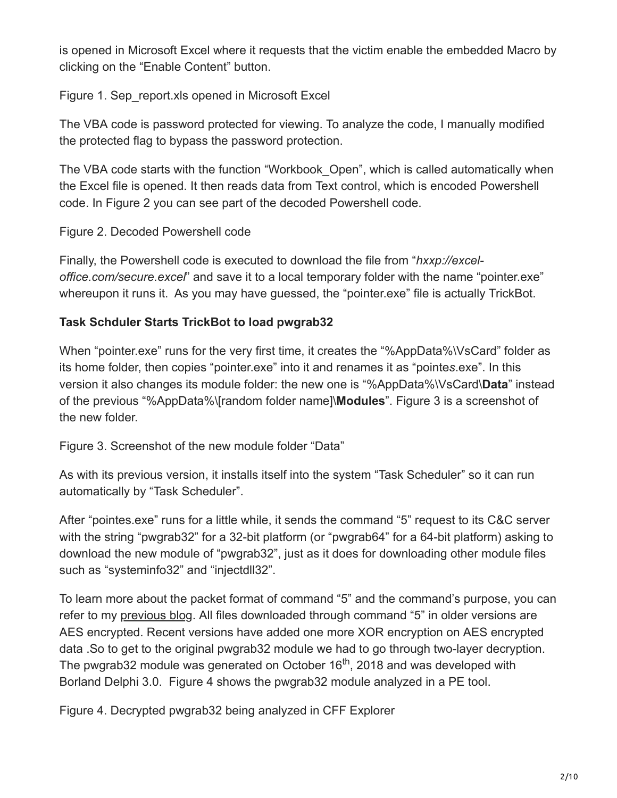is opened in Microsoft Excel where it requests that the victim enable the embedded Macro by clicking on the "Enable Content" button.

Figure 1. Sep\_report.xls opened in Microsoft Excel

The VBA code is password protected for viewing. To analyze the code, I manually modified the protected flag to bypass the password protection.

The VBA code starts with the function "Workbook\_Open", which is called automatically when the Excel file is opened. It then reads data from Text control, which is encoded Powershell code. In Figure 2 you can see part of the decoded Powershell code.

## Figure 2. Decoded Powershell code

Finally, the Powershell code is executed to download the file from "*hxxp://exceloffice.com/secure.excel*" and save it to a local temporary folder with the name "pointer.exe" whereupon it runs it. As you may have guessed, the "pointer.exe" file is actually TrickBot.

## **Task Schduler Starts TrickBot to load pwgrab32**

When "pointer.exe" runs for the very first time, it creates the "%AppData%\VsCard" folder as its home folder, then copies "pointer.exe" into it and renames it as "pointe*s*.exe". In this version it also changes its module folder: the new one is "%AppData%\VsCard\**Data**" instead of the previous "%AppData%\[random folder name]\**Modules**". Figure 3 is a screenshot of the new folder.

Figure 3. Screenshot of the new module folder "Data"

As with its previous version, it installs itself into the system "Task Scheduler" so it can run automatically by "Task Scheduler".

After "pointes.exe" runs for a little while, it sends the command "5" request to its C&C server with the string "pwgrab32" for a 32-bit platform (or "pwgrab64" for a 64-bit platform) asking to download the new module of "pwgrab32", just as it does for downloading other module files such as "systeminfo32" and "injectdll32".

To learn more about the packet format of command "5" and the command's purpose, you can refer to my [previous blog](https://www.fortinet.com/blog/threat-research/deep-analysis-of-the-online-banking-botnet-trickbot.html). All files downloaded through command "5" in older versions are AES encrypted. Recent versions have added one more XOR encryption on AES encrypted data .So to get to the original pwgrab32 module we had to go through two-layer decryption. The pwgrab32 module was generated on October 16<sup>th</sup>, 2018 and was developed with Borland Delphi 3.0. Figure 4 shows the pwgrab32 module analyzed in a PE tool.

Figure 4. Decrypted pwgrab32 being analyzed in CFF Explorer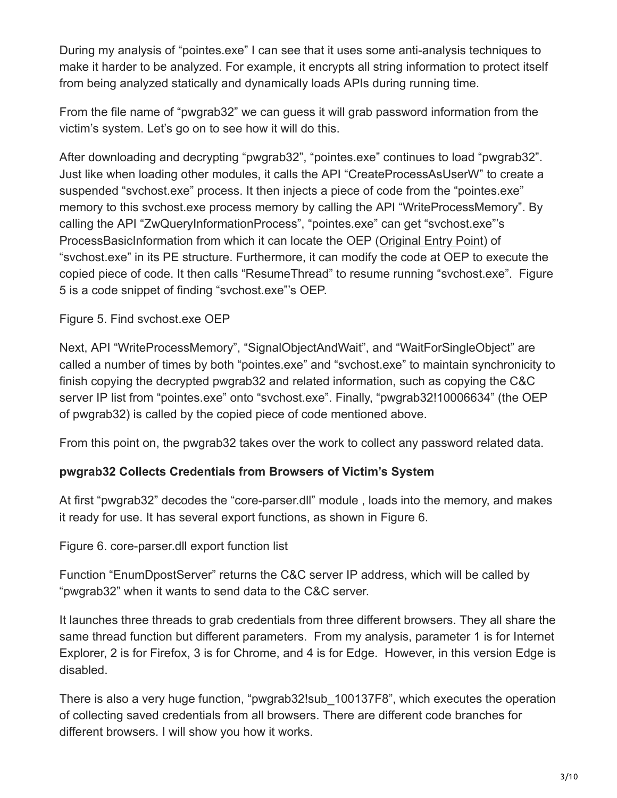During my analysis of "pointes.exe" I can see that it uses some anti-analysis techniques to make it harder to be analyzed. For example, it encrypts all string information to protect itself from being analyzed statically and dynamically loads APIs during running time.

From the file name of "pwgrab32" we can guess it will grab password information from the victim's system. Let's go on to see how it will do this.

After downloading and decrypting "pwgrab32", "pointes.exe" continues to load "pwgrab32". Just like when loading other modules, it calls the API "CreateProcessAsUserW" to create a suspended "svchost.exe" process. It then injects a piece of code from the "pointes.exe" memory to this svchost.exe process memory by calling the API "WriteProcessMemory". By calling the API "ZwQueryInformationProcess", "pointes.exe" can get "svchost.exe"'s ProcessBasicInformation from which it can locate the OEP [\(Original Entry Point\)](https://en.wikipedia.org/wiki/Entry_point) of "svchost.exe" in its PE structure. Furthermore, it can modify the code at OEP to execute the copied piece of code. It then calls "ResumeThread" to resume running "svchost.exe". Figure 5 is a code snippet of finding "svchost.exe"'s OEP.

## Figure 5. Find svchost.exe OEP

Next, API "WriteProcessMemory", "SignalObjectAndWait", and "WaitForSingleObject" are called a number of times by both "pointes.exe" and "svchost.exe" to maintain synchronicity to finish copying the decrypted pwgrab32 and related information, such as copying the C&C server IP list from "pointes.exe" onto "svchost.exe". Finally, "pwgrab32!10006634" (the OEP of pwgrab32) is called by the copied piece of code mentioned above.

From this point on, the pwgrab32 takes over the work to collect any password related data.

## **pwgrab32 Collects Credentials from Browsers of Victim's System**

At first "pwgrab32" decodes the "core-parser.dll" module , loads into the memory, and makes it ready for use. It has several export functions, as shown in Figure 6.

Figure 6. core-parser.dll export function list

Function "EnumDpostServer" returns the C&C server IP address, which will be called by "pwgrab32" when it wants to send data to the C&C server.

It launches three threads to grab credentials from three different browsers. They all share the same thread function but different parameters. From my analysis, parameter 1 is for Internet Explorer, 2 is for Firefox, 3 is for Chrome, and 4 is for Edge. However, in this version Edge is disabled.

There is also a very huge function, "pwgrab32!sub\_100137F8", which executes the operation of collecting saved credentials from all browsers. There are different code branches for different browsers. I will show you how it works.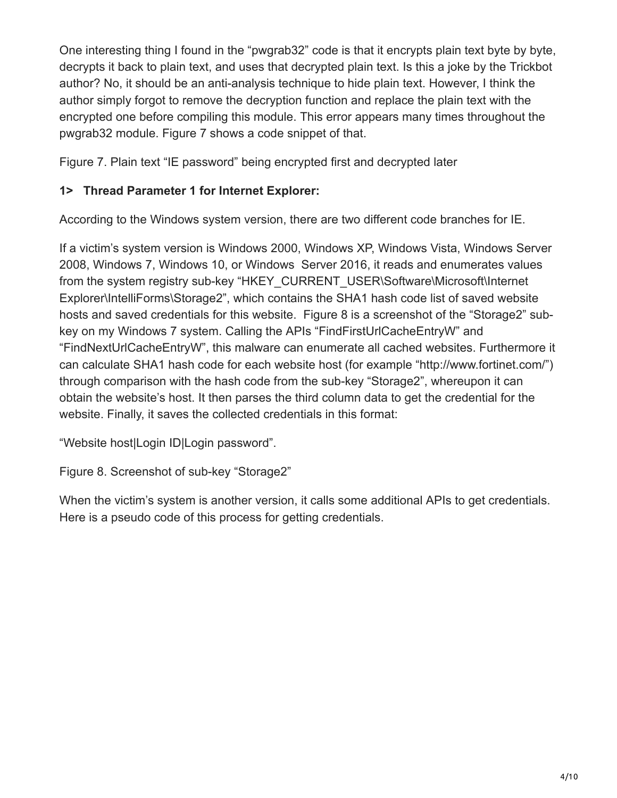One interesting thing I found in the "pwgrab32" code is that it encrypts plain text byte by byte, decrypts it back to plain text, and uses that decrypted plain text. Is this a joke by the Trickbot author? No, it should be an anti-analysis technique to hide plain text. However, I think the author simply forgot to remove the decryption function and replace the plain text with the encrypted one before compiling this module. This error appears many times throughout the pwgrab32 module. Figure 7 shows a code snippet of that.

Figure 7. Plain text "IE password" being encrypted first and decrypted later

## **1> Thread Parameter 1 for Internet Explorer:**

According to the Windows system version, there are two different code branches for IE.

If a victim's system version is Windows 2000, Windows XP, Windows Vista, Windows Server 2008, Windows 7, Windows 10, or Windows Server 2016, it reads and enumerates values from the system registry sub-key "HKEY\_CURRENT\_USER\Software\Microsoft\Internet Explorer\IntelliForms\Storage2", which contains the SHA1 hash code list of saved website hosts and saved credentials for this website. Figure 8 is a screenshot of the "Storage2" subkey on my Windows 7 system. Calling the APIs "FindFirstUrlCacheEntryW" and "FindNextUrlCacheEntryW", this malware can enumerate all cached websites. Furthermore it can calculate SHA1 hash code for each website host (for example "http://www.fortinet.com/") through comparison with the hash code from the sub-key "Storage2", whereupon it can obtain the website's host. It then parses the third column data to get the credential for the website. Finally, it saves the collected credentials in this format:

"Website host|Login ID|Login password".

Figure 8. Screenshot of sub-key "Storage2"

When the victim's system is another version, it calls some additional APIs to get credentials. Here is a pseudo code of this process for getting credentials.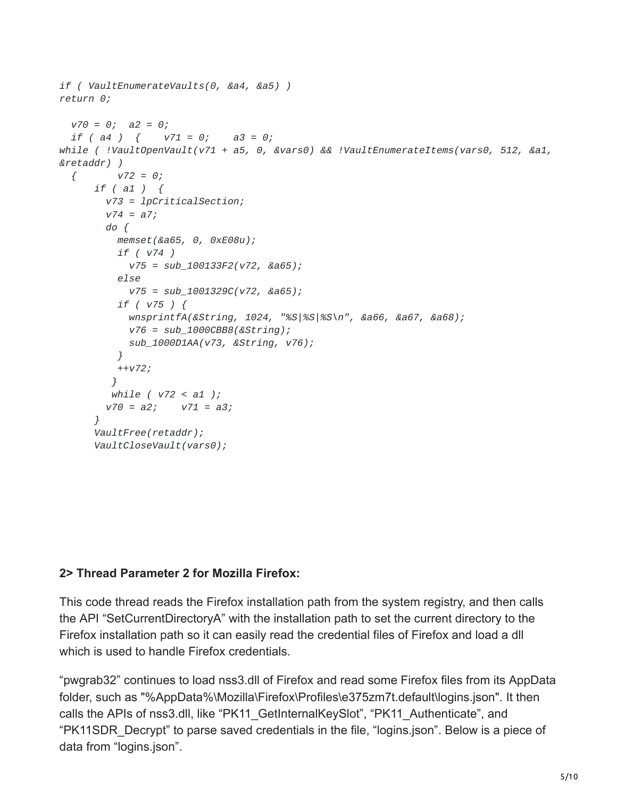```
if ( VaultEnumerateVaults(0, &a4, &a5) )
return 0;
 v70 = 0; a2 = 0;
 if ( a4 ) { v71 = 0; a3 = 0;
while ( !VaultOpenVault(v71 + a5, 0, &vars0) && !VaultEnumerateItems(vars0, 512, &a1,
&retaddr) )
 { v72 = 0;
     if ( a1 ) {
       v73 = lpCriticalSection;
       v74 = a7;
       do {
         memset(&a65, 0, 0xE08u);
         if ( v74 )
           v75 = sub_100133F2(v72, &a65);
         else
           v75 = sub_1001329C(v72, &a65);
         if ( v75 ) {
           wnsprintfA(&String, 1024, "%S|%S|%S\n", &a66, &a67, &a68);
           v76 = sub_1000CBB8(&String);
           sub_1000D1AA(v73, &String, v76);
         }
         ++v72;
        }
        while ( v72 < a1 );
        v70 = a2; v71 = a3;
      }
      VaultFree(retaddr);
      VaultCloseVault(vars0);
```
## **2> Thread Parameter 2 for Mozilla Firefox:**

This code thread reads the Firefox installation path from the system registry, and then calls the API "SetCurrentDirectoryA" with the installation path to set the current directory to the Firefox installation path so it can easily read the credential files of Firefox and load a dll which is used to handle Firefox credentials.

"pwgrab32" continues to load nss3.dll of Firefox and read some Firefox files from its AppData folder, such as "%AppData%\Mozilla\Firefox\Profiles\e375zm7t.default\logins.json". It then calls the APIs of nss3.dll, like "PK11\_GetInternalKeySlot", "PK11\_Authenticate", and "PK11SDR\_Decrypt" to parse saved credentials in the file, "logins.json". Below is a piece of data from "logins.json".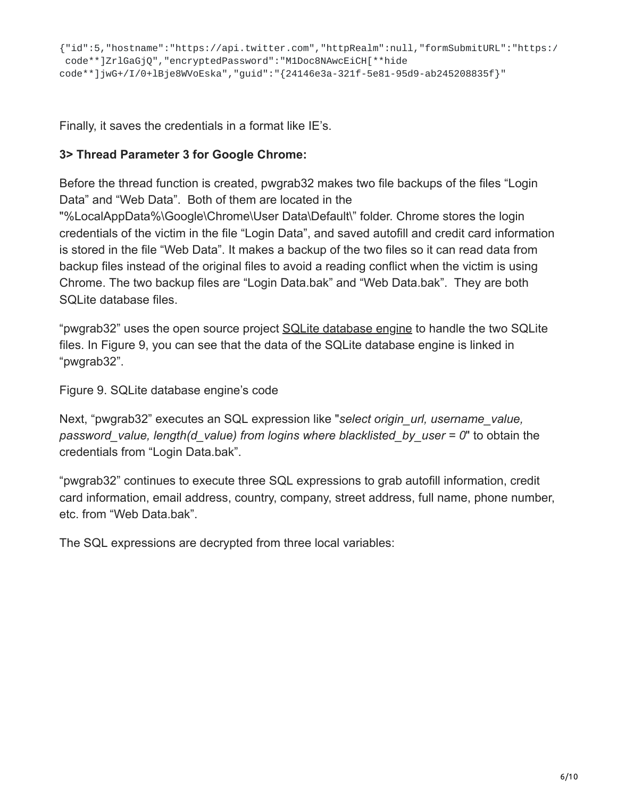Finally, it saves the credentials in a format like IE's.

## **3> Thread Parameter 3 for Google Chrome:**

Before the thread function is created, pwgrab32 makes two file backups of the files "Login Data" and "Web Data". Both of them are located in the

"%LocalAppData%\Google\Chrome\User Data\Default\" folder. Chrome stores the login credentials of the victim in the file "Login Data", and saved autofill and credit card information is stored in the file "Web Data". It makes a backup of the two files so it can read data from backup files instead of the original files to avoid a reading conflict when the victim is using Chrome. The two backup files are "Login Data.bak" and "Web Data.bak". They are both SQLite database files.

"pwgrab32" uses the open source project [SQLite database engine](https://www.sqlite.org/index.html) to handle the two SQLite files. In Figure 9, you can see that the data of the SQLite database engine is linked in "pwgrab32".

Figure 9. SQLite database engine's code

Next, "pwgrab32" executes an SQL expression like "*select origin\_url, username\_value, password\_value, length(d\_value) from logins where blacklisted\_by\_user = 0*" to obtain the credentials from "Login Data.bak".

"pwgrab32" continues to execute three SQL expressions to grab autofill information, credit card information, email address, country, company, street address, full name, phone number, etc. from "Web Data.bak".

The SQL expressions are decrypted from three local variables: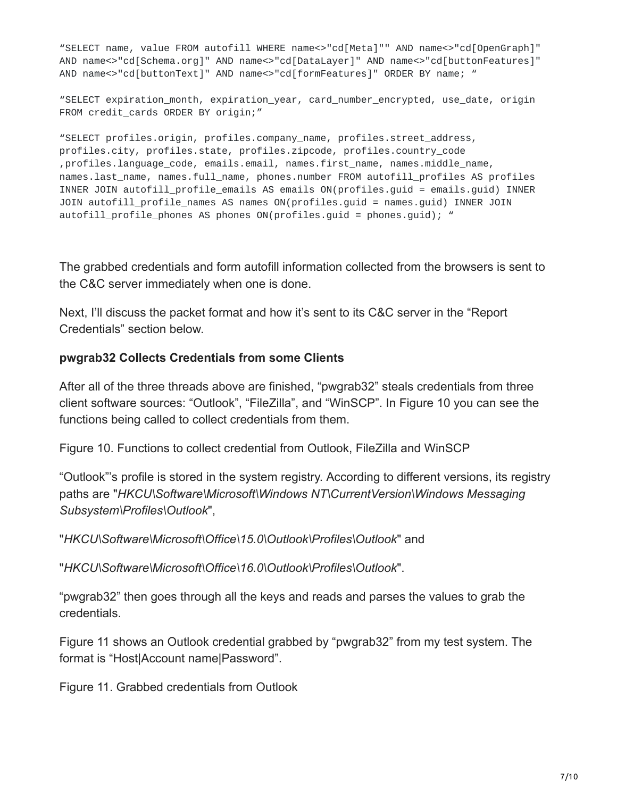"SELECT name, value FROM autofill WHERE name<>"cd[Meta]"" AND name<>"cd[OpenGraph]" AND name<>"cd[Schema.org]" AND name<>"cd[DataLayer]" AND name<>"cd[buttonFeatures]" AND name<>"cd[buttonText]" AND name<>"cd[formFeatures]" ORDER BY name; "

"SELECT expiration\_month, expiration\_year, card\_number\_encrypted, use\_date, origin FROM credit\_cards ORDER BY origin;"

"SELECT profiles.origin, profiles.company\_name, profiles.street\_address, profiles.city, profiles.state, profiles.zipcode, profiles.country\_code ,profiles.language\_code, emails.email, names.first\_name, names.middle\_name, names.last\_name, names.full\_name, phones.number FROM autofill\_profiles AS profiles INNER JOIN autofill\_profile\_emails AS emails ON(profiles.guid = emails.guid) INNER JOIN autofill\_profile\_names AS names ON(profiles.guid = names.guid) INNER JOIN autofill\_profile\_phones AS phones ON(profiles.quid = phones.quid); "

The grabbed credentials and form autofill information collected from the browsers is sent to the C&C server immediately when one is done.

Next, I'll discuss the packet format and how it's sent to its C&C server in the "Report Credentials" section below.

#### **pwgrab32 Collects Credentials from some Clients**

After all of the three threads above are finished, "pwgrab32" steals credentials from three client software sources: "Outlook", "FileZilla", and "WinSCP". In Figure 10 you can see the functions being called to collect credentials from them.

Figure 10. Functions to collect credential from Outlook, FileZilla and WinSCP

"Outlook"'s profile is stored in the system registry. According to different versions, its registry paths are "*HKCU\Software\Microsoft\Windows NT\CurrentVersion\Windows Messaging Subsystem\Profiles\Outlook*",

"*HKCU\Software\Microsoft\Office\15.0\Outlook\Profiles\Outlook*" and

"*HKCU\Software\Microsoft\Office\16.0\Outlook\Profiles\Outlook*".

"pwgrab32" then goes through all the keys and reads and parses the values to grab the credentials.

Figure 11 shows an Outlook credential grabbed by "pwgrab32" from my test system. The format is "Host|Account name|Password".

Figure 11. Grabbed credentials from Outlook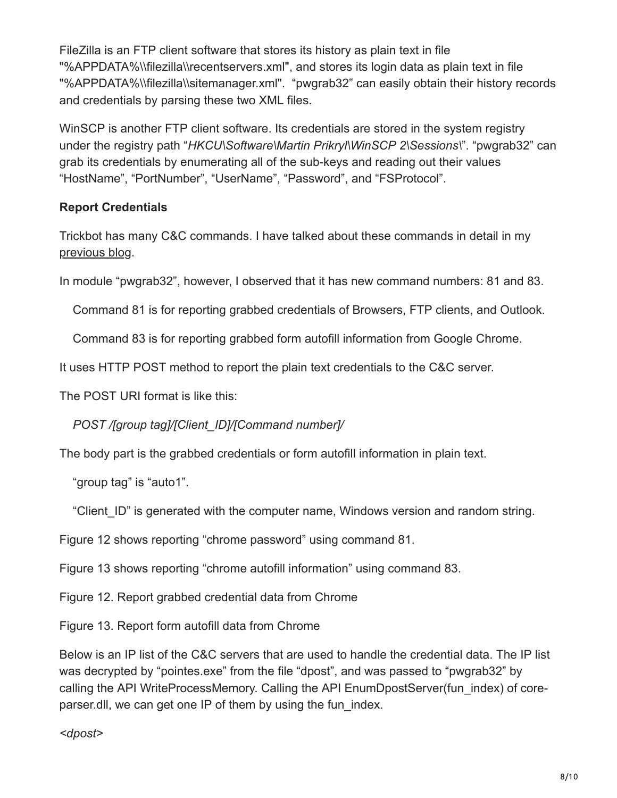FileZilla is an FTP client software that stores its history as plain text in file "%APPDATA%\\filezilla\\recentservers.xml", and stores its login data as plain text in file "%APPDATA%\\filezilla\\sitemanager.xml". "pwgrab32" can easily obtain their history records and credentials by parsing these two XML files.

WinSCP is another FTP client software. Its credentials are stored in the system registry under the registry path "*HKCU\Software\Martin Prikryl\WinSCP 2\Sessions\*". "pwgrab32" can grab its credentials by enumerating all of the sub-keys and reading out their values "HostName", "PortNumber", "UserName", "Password", and "FSProtocol".

# **Report Credentials**

Trickbot has many C&C commands. I have talked about these commands in detail in my [previous blog](https://www.fortinet.com/blog/threat-research/deep-analysis-of-the-online-banking-botnet-trickbot.html).

In module "pwgrab32", however, I observed that it has new command numbers: 81 and 83.

Command 81 is for reporting grabbed credentials of Browsers, FTP clients, and Outlook.

Command 83 is for reporting grabbed form autofill information from Google Chrome.

It uses HTTP POST method to report the plain text credentials to the C&C server.

The POST URI format is like this:

*POST /[group tag]/[Client\_ID]/[Command number]/*

The body part is the grabbed credentials or form autofill information in plain text.

"group tag" is "auto1".

"Client ID" is generated with the computer name, Windows version and random string.

Figure 12 shows reporting "chrome password" using command 81.

Figure 13 shows reporting "chrome autofill information" using command 83.

Figure 12. Report grabbed credential data from Chrome

Figure 13. Report form autofill data from Chrome

Below is an IP list of the C&C servers that are used to handle the credential data. The IP list was decrypted by "pointes.exe" from the file "dpost", and was passed to "pwgrab32" by calling the API WriteProcessMemory. Calling the API EnumDpostServer(fun\_index) of coreparser.dll, we can get one IP of them by using the fun\_index.

*<dpost>*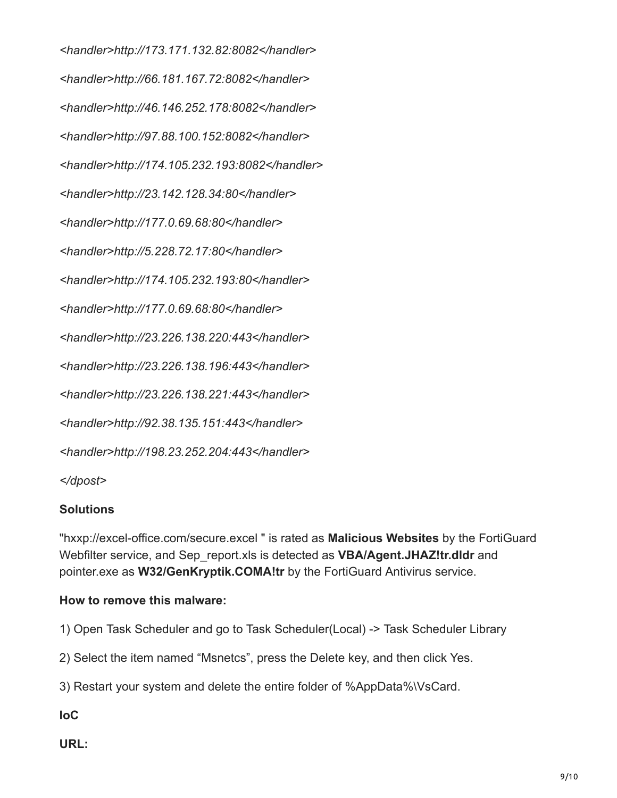*<handler>http://173.171.132.82:8082</handler> <handler>http://66.181.167.72:8082</handler> <handler>http://46.146.252.178:8082</handler> <handler>http://97.88.100.152:8082</handler> <handler>http://174.105.232.193:8082</handler> <handler>http://23.142.128.34:80</handler> <handler>http://177.0.69.68:80</handler> <handler>http://5.228.72.17:80</handler> <handler>http://174.105.232.193:80</handler> <handler>http://177.0.69.68:80</handler> <handler>http://23.226.138.220:443</handler> <handler>http://23.226.138.196:443</handler> <handler>http://23.226.138.221:443</handler> <handler>http://92.38.135.151:443</handler> <handler>http://198.23.252.204:443</handler> </dpost>*

#### **Solutions**

"hxxp://excel-office.com/secure.excel " is rated as **Malicious Websites** by the FortiGuard Webfilter service, and Sep\_report.xls is detected as **VBA/Agent.JHAZ!tr.dldr** and pointer.exe as **W32/GenKryptik.COMA!tr** by the FortiGuard Antivirus service.

#### **How to remove this malware:**

1) Open Task Scheduler and go to Task Scheduler(Local) -> Task Scheduler Library

2) Select the item named "Msnetcs", press the Delete key, and then click Yes.

3) Restart your system and delete the entire folder of %AppData%\VsCard.

**IoC**

**URL:**